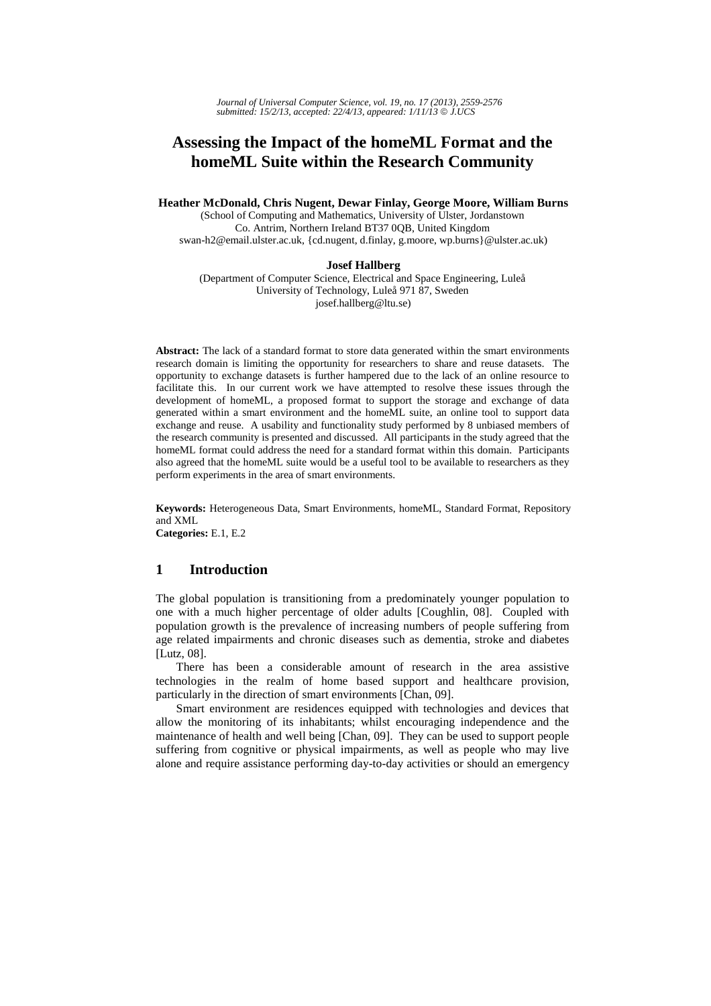# **Assessing the Impact of the homeML Format and the homeML Suite within the Research Community**

**Heather McDonald, Chris Nugent, Dewar Finlay, George Moore, William Burns** 

(School of Computing and Mathematics, University of Ulster, Jordanstown Co. Antrim, Northern Ireland BT37 0QB, United Kingdom swan-h2@email.ulster.ac.uk, {cd.nugent, d.finlay, g.moore, wp.burns}@ulster.ac.uk)

### **Josef Hallberg**

(Department of Computer Science, Electrical and Space Engineering, Luleå University of Technology, Luleå 971 87, Sweden josef.hallberg@ltu.se)

**Abstract:** The lack of a standard format to store data generated within the smart environments research domain is limiting the opportunity for researchers to share and reuse datasets. The opportunity to exchange datasets is further hampered due to the lack of an online resource to facilitate this. In our current work we have attempted to resolve these issues through the development of homeML, a proposed format to support the storage and exchange of data generated within a smart environment and the homeML suite, an online tool to support data exchange and reuse. A usability and functionality study performed by 8 unbiased members of the research community is presented and discussed. All participants in the study agreed that the homeML format could address the need for a standard format within this domain. Participants also agreed that the homeML suite would be a useful tool to be available to researchers as they perform experiments in the area of smart environments.

**Keywords:** Heterogeneous Data, Smart Environments, homeML, Standard Format, Repository and XML

**Categories:** E.1, E.2

# **1 Introduction**

The global population is transitioning from a predominately younger population to one with a much higher percentage of older adults [Coughlin, 08]. Coupled with population growth is the prevalence of increasing numbers of people suffering from age related impairments and chronic diseases such as dementia, stroke and diabetes [Lutz, 08].

There has been a considerable amount of research in the area assistive technologies in the realm of home based support and healthcare provision, particularly in the direction of smart environments [Chan, 09].

Smart environment are residences equipped with technologies and devices that allow the monitoring of its inhabitants; whilst encouraging independence and the maintenance of health and well being [Chan, 09]. They can be used to support people suffering from cognitive or physical impairments, as well as people who may live alone and require assistance performing day-to-day activities or should an emergency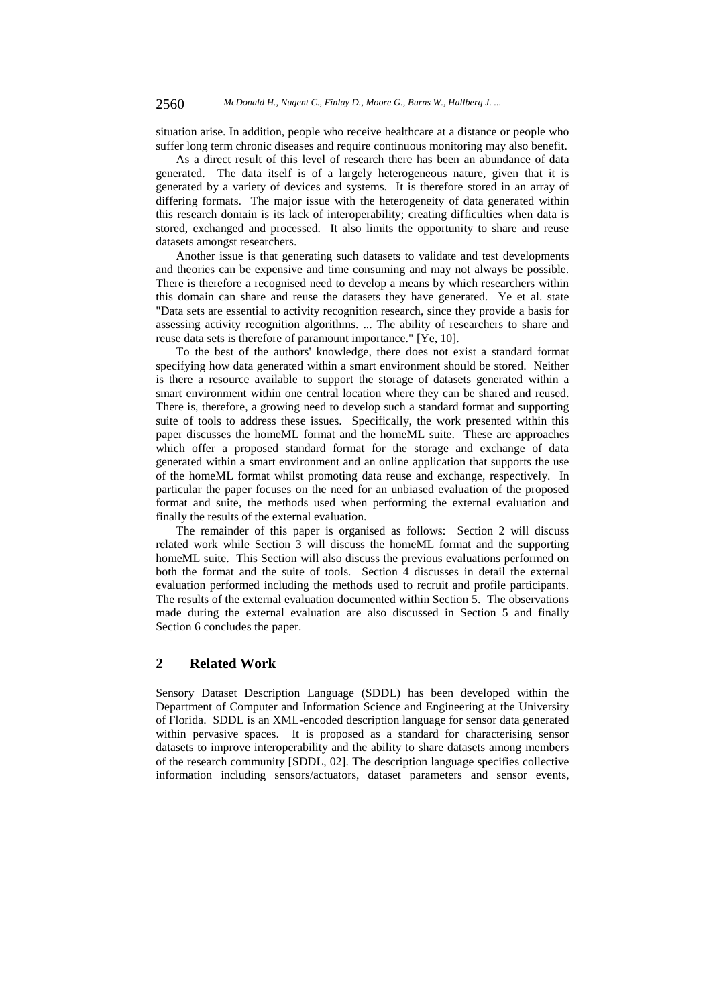situation arise. In addition, people who receive healthcare at a distance or people who suffer long term chronic diseases and require continuous monitoring may also benefit.

As a direct result of this level of research there has been an abundance of data generated. The data itself is of a largely heterogeneous nature, given that it is generated by a variety of devices and systems. It is therefore stored in an array of differing formats. The major issue with the heterogeneity of data generated within this research domain is its lack of interoperability; creating difficulties when data is stored, exchanged and processed. It also limits the opportunity to share and reuse datasets amongst researchers.

Another issue is that generating such datasets to validate and test developments and theories can be expensive and time consuming and may not always be possible. There is therefore a recognised need to develop a means by which researchers within this domain can share and reuse the datasets they have generated. Ye et al. state "Data sets are essential to activity recognition research, since they provide a basis for assessing activity recognition algorithms. ... The ability of researchers to share and reuse data sets is therefore of paramount importance." [Ye, 10].

To the best of the authors' knowledge, there does not exist a standard format specifying how data generated within a smart environment should be stored. Neither is there a resource available to support the storage of datasets generated within a smart environment within one central location where they can be shared and reused. There is, therefore, a growing need to develop such a standard format and supporting suite of tools to address these issues. Specifically, the work presented within this paper discusses the homeML format and the homeML suite. These are approaches which offer a proposed standard format for the storage and exchange of data generated within a smart environment and an online application that supports the use of the homeML format whilst promoting data reuse and exchange, respectively. In particular the paper focuses on the need for an unbiased evaluation of the proposed format and suite, the methods used when performing the external evaluation and finally the results of the external evaluation.

The remainder of this paper is organised as follows: Section 2 will discuss related work while Section 3 will discuss the homeML format and the supporting homeML suite. This Section will also discuss the previous evaluations performed on both the format and the suite of tools. Section 4 discusses in detail the external evaluation performed including the methods used to recruit and profile participants. The results of the external evaluation documented within Section 5. The observations made during the external evaluation are also discussed in Section 5 and finally Section 6 concludes the paper.

### **2 Related Work**

Sensory Dataset Description Language (SDDL) has been developed within the Department of Computer and Information Science and Engineering at the University of Florida. SDDL is an XML-encoded description language for sensor data generated within pervasive spaces. It is proposed as a standard for characterising sensor datasets to improve interoperability and the ability to share datasets among members of the research community [SDDL, 02]. The description language specifies collective information including sensors/actuators, dataset parameters and sensor events,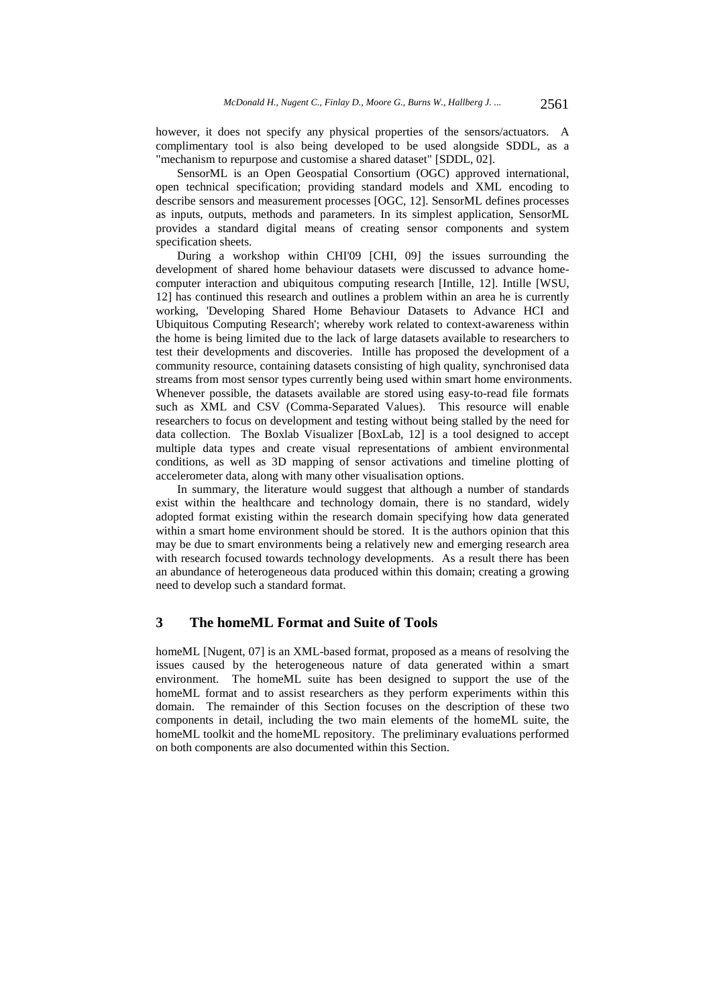however, it does not specify any physical properties of the sensors/actuators. A complimentary tool is also being developed to be used alongside SDDL, as a "mechanism to repurpose and customise a shared dataset" [SDDL, 02].

SensorML is an Open Geospatial Consortium (OGC) approved international, open technical specification; providing standard models and XML encoding to describe sensors and measurement processes [OGC, 12]. SensorML defines processes as inputs, outputs, methods and parameters. In its simplest application, SensorML provides a standard digital means of creating sensor components and system specification sheets.

During a workshop within CHI'09 [CHI, 09] the issues surrounding the development of shared home behaviour datasets were discussed to advance homecomputer interaction and ubiquitous computing research [Intille, 12]. Intille [WSU, 12] has continued this research and outlines a problem within an area he is currently working, 'Developing Shared Home Behaviour Datasets to Advance HCI and Ubiquitous Computing Research'; whereby work related to context-awareness within the home is being limited due to the lack of large datasets available to researchers to test their developments and discoveries. Intille has proposed the development of a community resource, containing datasets consisting of high quality, synchronised data streams from most sensor types currently being used within smart home environments. Whenever possible, the datasets available are stored using easy-to-read file formats such as XML and CSV (Comma-Separated Values). This resource will enable researchers to focus on development and testing without being stalled by the need for data collection. The Boxlab Visualizer [BoxLab, 12] is a tool designed to accept multiple data types and create visual representations of ambient environmental conditions, as well as 3D mapping of sensor activations and timeline plotting of accelerometer data, along with many other visualisation options.

In summary, the literature would suggest that although a number of standards exist within the healthcare and technology domain, there is no standard, widely adopted format existing within the research domain specifying how data generated within a smart home environment should be stored. It is the authors opinion that this may be due to smart environments being a relatively new and emerging research area with research focused towards technology developments. As a result there has been an abundance of heterogeneous data produced within this domain; creating a growing need to develop such a standard format.

# **3 The homeML Format and Suite of Tools**

homeML [Nugent, 07] is an XML-based format, proposed as a means of resolving the issues caused by the heterogeneous nature of data generated within a smart environment. The homeML suite has been designed to support the use of the homeML format and to assist researchers as they perform experiments within this domain. The remainder of this Section focuses on the description of these two components in detail, including the two main elements of the homeML suite, the homeML toolkit and the homeML repository. The preliminary evaluations performed on both components are also documented within this Section.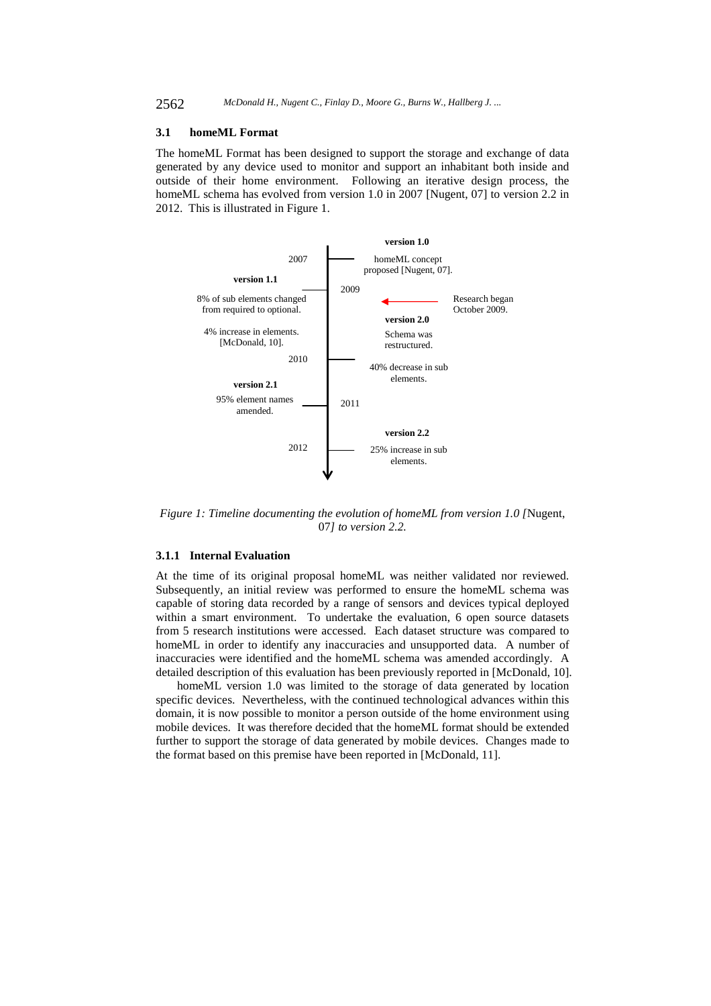### **3.1 homeML Format**

The homeML Format has been designed to support the storage and exchange of data generated by any device used to monitor and support an inhabitant both inside and outside of their home environment. Following an iterative design process, the homeML schema has evolved from version 1.0 in 2007 [Nugent, 07] to version 2.2 in 2012. This is illustrated in Figure 1.



*Figure 1: Timeline documenting the evolution of homeML from version 1.0 [*Nugent, 07*] to version 2.2.* 

### **3.1.1 Internal Evaluation**

At the time of its original proposal homeML was neither validated nor reviewed. Subsequently, an initial review was performed to ensure the homeML schema was capable of storing data recorded by a range of sensors and devices typical deployed within a smart environment. To undertake the evaluation, 6 open source datasets from 5 research institutions were accessed. Each dataset structure was compared to homeML in order to identify any inaccuracies and unsupported data. A number of inaccuracies were identified and the homeML schema was amended accordingly. A detailed description of this evaluation has been previously reported in [McDonald, 10].

homeML version 1.0 was limited to the storage of data generated by location specific devices. Nevertheless, with the continued technological advances within this domain, it is now possible to monitor a person outside of the home environment using mobile devices. It was therefore decided that the homeML format should be extended further to support the storage of data generated by mobile devices. Changes made to the format based on this premise have been reported in [McDonald, 11].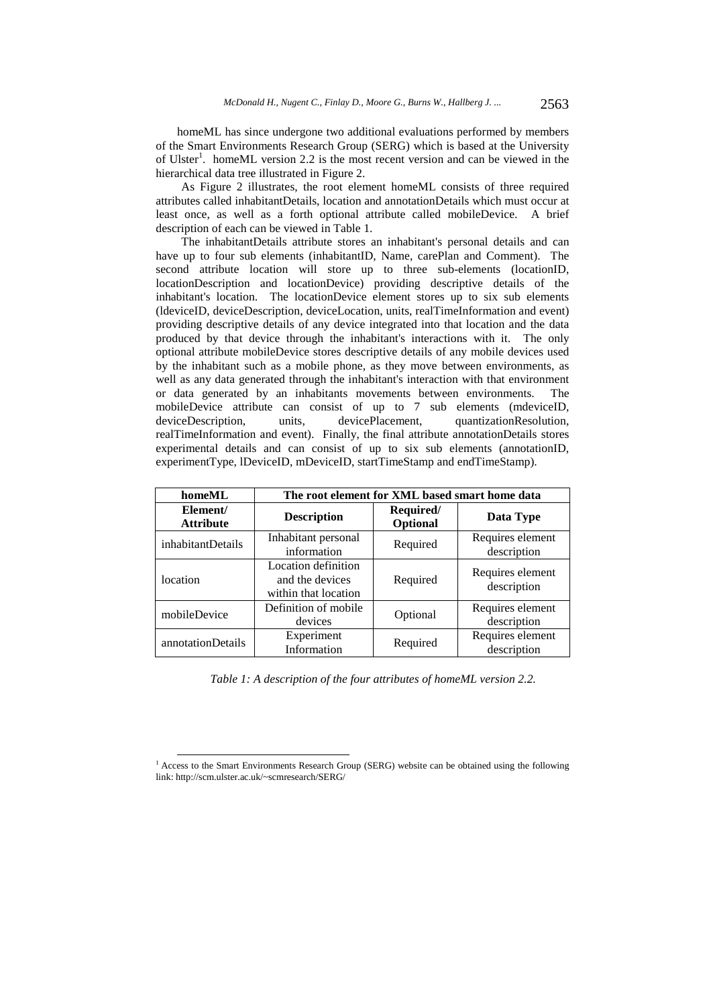homeML has since undergone two additional evaluations performed by members of the Smart Environments Research Group (SERG) which is based at the University of Ulster<sup>1</sup>. homeML version 2.2 is the most recent version and can be viewed in the hierarchical data tree illustrated in Figure 2.

As Figure 2 illustrates, the root element homeML consists of three required attributes called inhabitantDetails, location and annotationDetails which must occur at least once, as well as a forth optional attribute called mobileDevice. A brief description of each can be viewed in Table 1.

The inhabitantDetails attribute stores an inhabitant's personal details and can have up to four sub elements (inhabitantID, Name, carePlan and Comment). The second attribute location will store up to three sub-elements (locationID, locationDescription and locationDevice) providing descriptive details of the inhabitant's location. The locationDevice element stores up to six sub elements (ldeviceID, deviceDescription, deviceLocation, units, realTimeInformation and event) providing descriptive details of any device integrated into that location and the data produced by that device through the inhabitant's interactions with it. The only optional attribute mobileDevice stores descriptive details of any mobile devices used by the inhabitant such as a mobile phone, as they move between environments, as well as any data generated through the inhabitant's interaction with that environment or data generated by an inhabitants movements between environments. The mobileDevice attribute can consist of up to 7 sub elements (mdeviceID, deviceDescription, units, devicePlacement, quantizationResolution, realTimeInformation and event). Finally, the final attribute annotationDetails stores experimental details and can consist of up to six sub elements (annotationID, experimentType, lDeviceID, mDeviceID, startTimeStamp and endTimeStamp).

| homeML                       | The root element for XML based smart home data                 |                       |                                 |
|------------------------------|----------------------------------------------------------------|-----------------------|---------------------------------|
| Element/<br><b>Attribute</b> | <b>Description</b>                                             | Required/<br>Optional | Data Type                       |
| inhabitantDetails            | Inhabitant personal<br>information                             | Required              | Requires element<br>description |
| location                     | Location definition<br>and the devices<br>within that location | Required              | Requires element<br>description |
| mobileDevice                 | Definition of mobile<br>devices                                | Optional              | Requires element<br>description |
| annotationDetails            | Experiment<br>Information                                      | Required              | Requires element<br>description |

*Table 1: A description of the four attributes of homeML version 2.2.* 

<sup>&</sup>lt;sup>1</sup> Access to the Smart Environments Research Group (SERG) website can be obtained using the following link: http://scm.ulster.ac.uk/~scmresearch/SERG/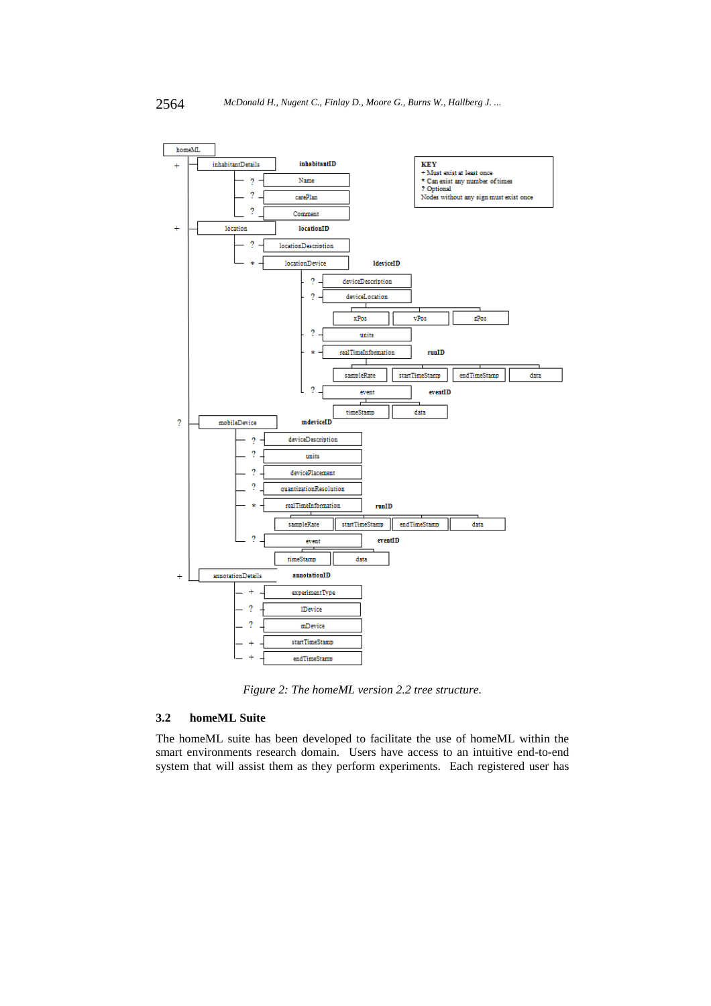

*Figure 2: The homeML version 2.2 tree structure.* 

### **3.2 homeML Suite**

The homeML suite has been developed to facilitate the use of homeML within the smart environments research domain. Users have access to an intuitive end-to-end system that will assist them as they perform experiments. Each registered user has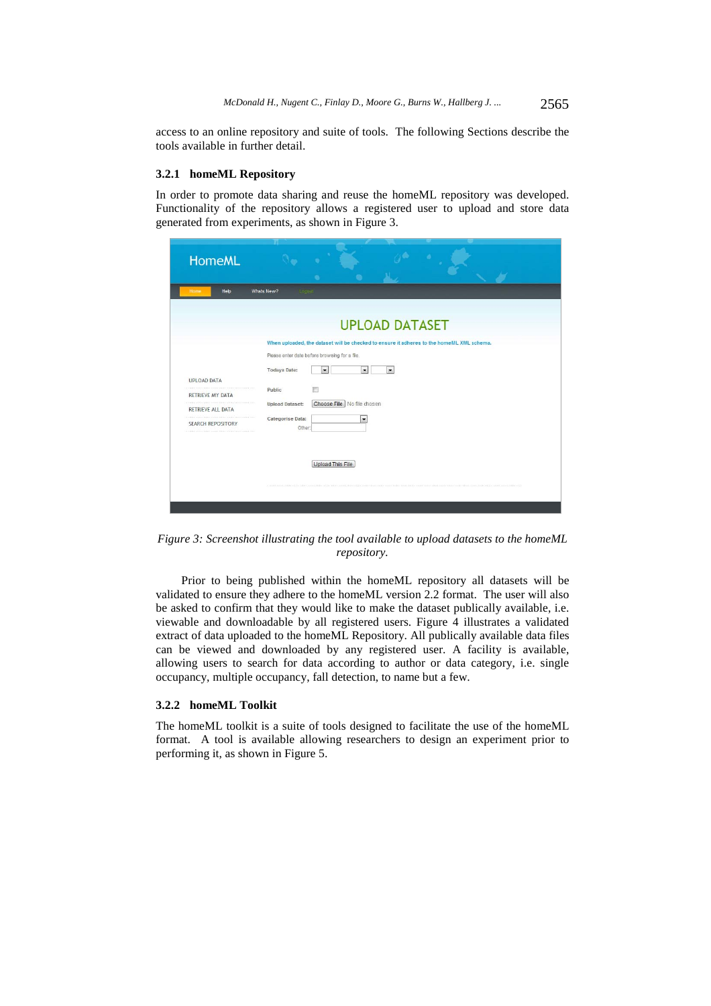access to an online repository and suite of tools. The following Sections describe the tools available in further detail.

### **3.2.1 homeML Repository**

In order to promote data sharing and reuse the homeML repository was developed. Functionality of the repository allows a registered user to upload and store data generated from experiments, as shown in Figure 3.

| <b>HomeML</b>            | ٠                                                                                         |
|--------------------------|-------------------------------------------------------------------------------------------|
| Help<br>Home             | Whats New?<br>Logout                                                                      |
|                          | <b>UPLOAD DATASET</b>                                                                     |
|                          | When uploaded, the dataset will be checked to ensure it adheres to the homeML XML schema. |
|                          | Please enter date before browsing for a file.                                             |
| <b>UPLOAD DATA</b>       | <b>Todays Date:</b><br>$\vert \cdot \vert$<br>$\overline{\phantom{a}}$<br>$\mathbf{r}$    |
| <b>RETRIEVE MY DATA</b>  | F<br>Public                                                                               |
| RETRIEVE ALL DATA        | Choose File No file chosen<br><b>Upload Dataset:</b>                                      |
| <b>SEARCH REPOSITORY</b> | Categorise Data:<br>$\overline{\phantom{a}}$<br>Other:                                    |
|                          |                                                                                           |
|                          | Upload This File                                                                          |
|                          |                                                                                           |
|                          |                                                                                           |
|                          |                                                                                           |

*Figure 3: Screenshot illustrating the tool available to upload datasets to the homeML repository.* 

Prior to being published within the homeML repository all datasets will be validated to ensure they adhere to the homeML version 2.2 format. The user will also be asked to confirm that they would like to make the dataset publically available, i.e. viewable and downloadable by all registered users. Figure 4 illustrates a validated extract of data uploaded to the homeML Repository. All publically available data files can be viewed and downloaded by any registered user. A facility is available, allowing users to search for data according to author or data category, i.e. single occupancy, multiple occupancy, fall detection, to name but a few.

### **3.2.2 homeML Toolkit**

The homeML toolkit is a suite of tools designed to facilitate the use of the homeML format. A tool is available allowing researchers to design an experiment prior to performing it, as shown in Figure 5.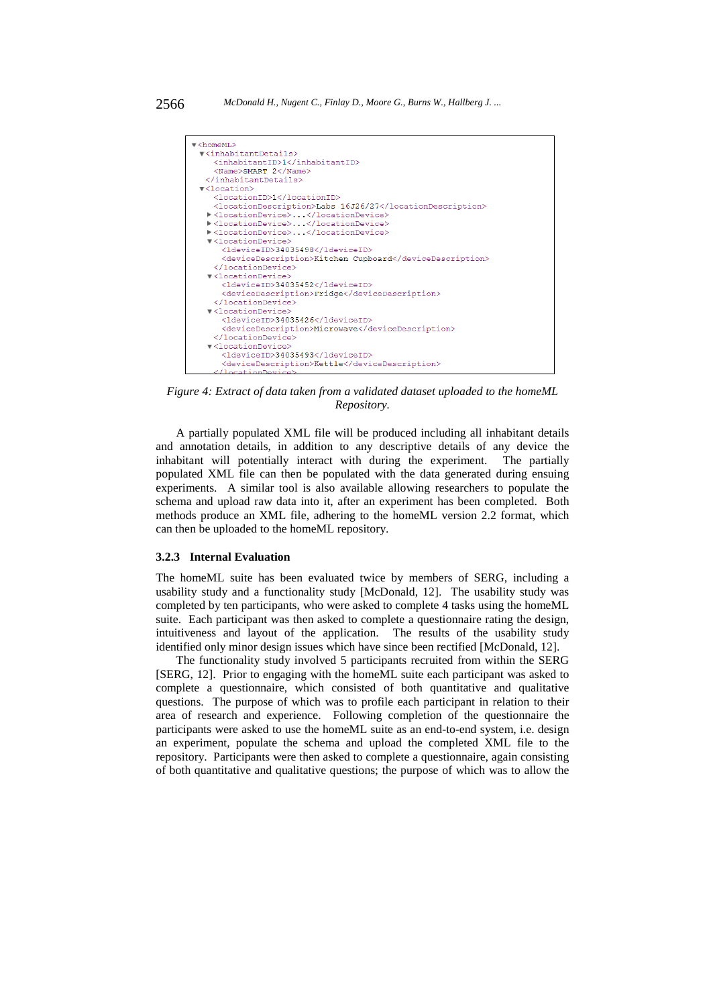

*Figure 4: Extract of data taken from a validated dataset uploaded to the homeML Repository.*

A partially populated XML file will be produced including all inhabitant details and annotation details, in addition to any descriptive details of any device the inhabitant will potentially interact with during the experiment. The partially populated XML file can then be populated with the data generated during ensuing experiments. A similar tool is also available allowing researchers to populate the schema and upload raw data into it, after an experiment has been completed. Both methods produce an XML file, adhering to the homeML version 2.2 format, which can then be uploaded to the homeML repository.

### **3.2.3 Internal Evaluation**

The homeML suite has been evaluated twice by members of SERG, including a usability study and a functionality study [McDonald, 12]. The usability study was completed by ten participants, who were asked to complete 4 tasks using the homeML suite. Each participant was then asked to complete a questionnaire rating the design, intuitiveness and layout of the application. The results of the usability study identified only minor design issues which have since been rectified [McDonald, 12].

The functionality study involved 5 participants recruited from within the SERG [SERG, 12]. Prior to engaging with the homeML suite each participant was asked to complete a questionnaire, which consisted of both quantitative and qualitative questions. The purpose of which was to profile each participant in relation to their area of research and experience. Following completion of the questionnaire the participants were asked to use the homeML suite as an end-to-end system, i.e. design an experiment, populate the schema and upload the completed XML file to the repository. Participants were then asked to complete a questionnaire, again consisting of both quantitative and qualitative questions; the purpose of which was to allow the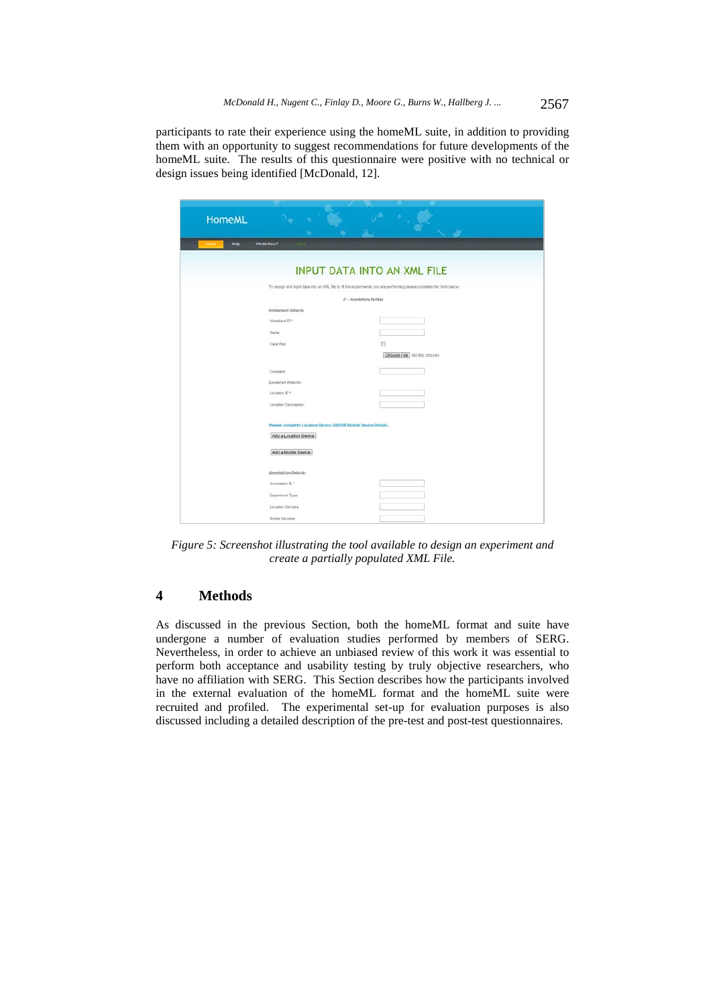participants to rate their experience using the homeML suite, in addition to providing them with an opportunity to suggest recommendations for future developments of the homeML suite. The results of this questionnaire were positive with no technical or design issues being identified [McDonald, 12].

| <b>HomeML</b> |                                                               |                                                                                                                      |
|---------------|---------------------------------------------------------------|----------------------------------------------------------------------------------------------------------------------|
|               |                                                               |                                                                                                                      |
| Help.         | Whats New?                                                    |                                                                                                                      |
|               |                                                               |                                                                                                                      |
|               |                                                               | <b>INPUT DATA INTO AN XML FILE</b>                                                                                   |
|               |                                                               | To design and input data into an XIVL file to fit the experiments you are performing please complete the form below: |
|               |                                                               | (* - mandatory fields)                                                                                               |
|               | Inhabitant Details:                                           |                                                                                                                      |
|               | Intabiant D *                                                 |                                                                                                                      |
|               | Name                                                          |                                                                                                                      |
|               | Care Plan                                                     | E                                                                                                                    |
|               |                                                               | Choose File No file chosen                                                                                           |
|               | Comment.                                                      |                                                                                                                      |
|               | Location Details:                                             |                                                                                                                      |
|               | Location ID *:                                                |                                                                                                                      |
|               | Lecation Description:                                         |                                                                                                                      |
|               |                                                               |                                                                                                                      |
|               | Please complete Location Device AND/OR Mobile Device Details. |                                                                                                                      |
|               | Add a Location Device                                         |                                                                                                                      |
|               | Add a Mobile Device                                           |                                                                                                                      |
|               |                                                               |                                                                                                                      |
|               | Annotation Details:                                           |                                                                                                                      |
|               | Annotation D *                                                |                                                                                                                      |
|               | Experiment Type                                               |                                                                                                                      |
|               | Location Devices                                              |                                                                                                                      |
|               | Mobile Devices                                                |                                                                                                                      |

*Figure 5: Screenshot illustrating the tool available to design an experiment and create a partially populated XML File.* 

# **4 Methods**

As discussed in the previous Section, both the homeML format and suite have undergone a number of evaluation studies performed by members of SERG. Nevertheless, in order to achieve an unbiased review of this work it was essential to perform both acceptance and usability testing by truly objective researchers, who have no affiliation with SERG. This Section describes how the participants involved in the external evaluation of the homeML format and the homeML suite were recruited and profiled. The experimental set-up for evaluation purposes is also discussed including a detailed description of the pre-test and post-test questionnaires.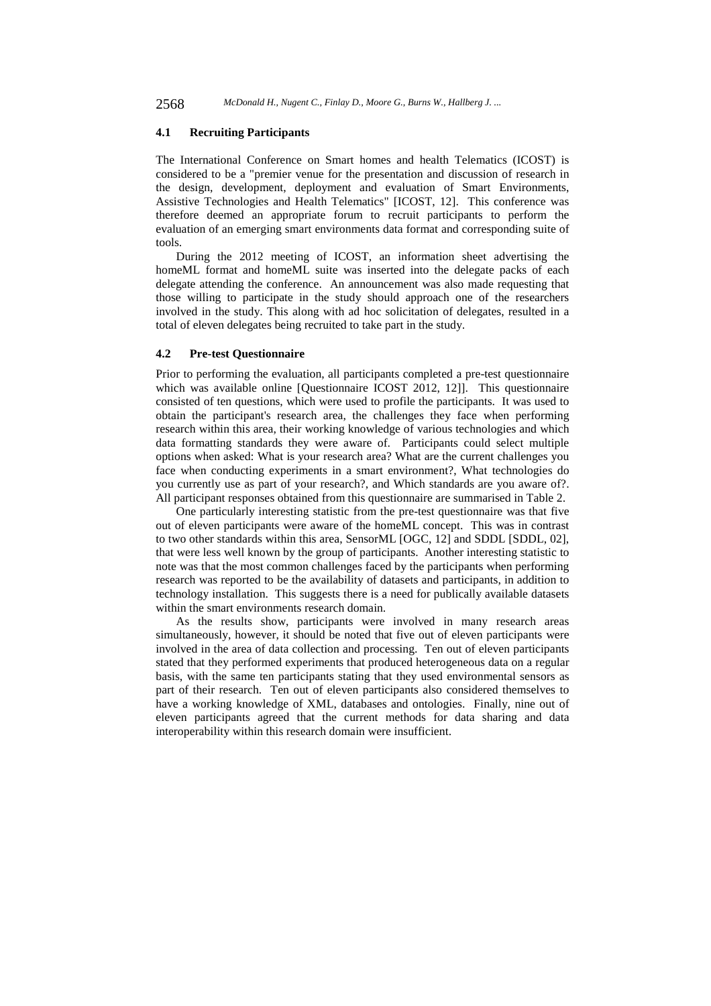2568 *McDonald H., Nugent C., Finlay D., Moore G., Burns W., Hallberg J. ...*

### **4.1 Recruiting Participants**

The International Conference on Smart homes and health Telematics (ICOST) is considered to be a "premier venue for the presentation and discussion of research in the design, development, deployment and evaluation of Smart Environments, Assistive Technologies and Health Telematics" [ICOST, 12]. This conference was therefore deemed an appropriate forum to recruit participants to perform the evaluation of an emerging smart environments data format and corresponding suite of tools.

During the 2012 meeting of ICOST, an information sheet advertising the homeML format and homeML suite was inserted into the delegate packs of each delegate attending the conference. An announcement was also made requesting that those willing to participate in the study should approach one of the researchers involved in the study. This along with ad hoc solicitation of delegates, resulted in a total of eleven delegates being recruited to take part in the study.

### **4.2 Pre-test Questionnaire**

Prior to performing the evaluation, all participants completed a pre-test questionnaire which was available online [Questionnaire ICOST 2012, 12]]. This questionnaire consisted of ten questions, which were used to profile the participants. It was used to obtain the participant's research area, the challenges they face when performing research within this area, their working knowledge of various technologies and which data formatting standards they were aware of. Participants could select multiple options when asked: What is your research area? What are the current challenges you face when conducting experiments in a smart environment?, What technologies do you currently use as part of your research?, and Which standards are you aware of?. All participant responses obtained from this questionnaire are summarised in Table 2.

One particularly interesting statistic from the pre-test questionnaire was that five out of eleven participants were aware of the homeML concept. This was in contrast to two other standards within this area, SensorML [OGC, 12] and SDDL [SDDL, 02], that were less well known by the group of participants. Another interesting statistic to note was that the most common challenges faced by the participants when performing research was reported to be the availability of datasets and participants, in addition to technology installation. This suggests there is a need for publically available datasets within the smart environments research domain.

As the results show, participants were involved in many research areas simultaneously, however, it should be noted that five out of eleven participants were involved in the area of data collection and processing. Ten out of eleven participants stated that they performed experiments that produced heterogeneous data on a regular basis, with the same ten participants stating that they used environmental sensors as part of their research. Ten out of eleven participants also considered themselves to have a working knowledge of XML, databases and ontologies. Finally, nine out of eleven participants agreed that the current methods for data sharing and data interoperability within this research domain were insufficient.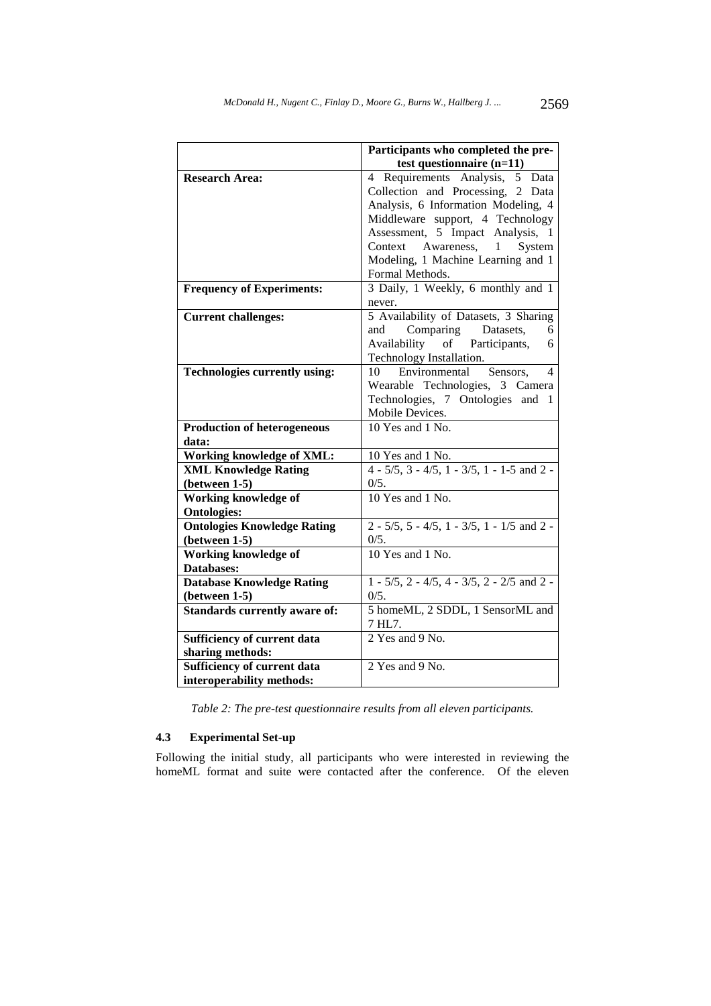|                                      | Participants who completed the pre-                     |
|--------------------------------------|---------------------------------------------------------|
|                                      | test questionnaire (n=11)                               |
| <b>Research Area:</b>                | 4 Requirements Analysis, 5 Data                         |
|                                      | Collection and Processing, 2 Data                       |
|                                      | Analysis, 6 Information Modeling, 4                     |
|                                      | Middleware support, 4 Technology                        |
|                                      | Assessment, 5 Impact Analysis, 1                        |
|                                      | Awareness,<br>System<br>Context<br>$\mathbf{1}$         |
|                                      | Modeling, 1 Machine Learning and 1                      |
|                                      | Formal Methods.                                         |
| <b>Frequency of Experiments:</b>     | 3 Daily, 1 Weekly, 6 monthly and 1                      |
|                                      | never.                                                  |
| <b>Current challenges:</b>           | 5 Availability of Datasets, 3 Sharing                   |
|                                      | Comparing Datasets,<br>and<br>6                         |
|                                      | Availability of Participants,<br>6                      |
|                                      | Technology Installation.                                |
| <b>Technologies currently using:</b> | Environmental<br>10<br>4<br>Sensors.                    |
|                                      | Wearable Technologies, 3 Camera                         |
|                                      | Technologies, 7 Ontologies and<br>-1                    |
|                                      | Mobile Devices.                                         |
| <b>Production of heterogeneous</b>   | 10 Yes and 1 No.                                        |
| data:                                |                                                         |
| <b>Working knowledge of XML:</b>     | 10 Yes and 1 No.                                        |
| <b>XML Knowledge Rating</b>          | $4 - 5/5$ , $3 - 4/5$ , $1 - 3/5$ , $1 - 1-5$ and $2 -$ |
| (between 1-5)                        | 0/5.                                                    |
| <b>Working knowledge of</b>          | 10 Yes and 1 No.                                        |
| <b>Ontologies:</b>                   |                                                         |
| <b>Ontologies Knowledge Rating</b>   | $2 - 5/5$ , 5 - 4/5, 1 - 3/5, 1 - 1/5 and 2 -           |
| $(between 1-5)$                      | 0/5.                                                    |
| <b>Working knowledge of</b>          | 10 Yes and 1 No.                                        |
| Databases:                           |                                                         |
| <b>Database Knowledge Rating</b>     | $1 - 5/5$ , $2 - 4/5$ , $4 - 3/5$ , $2 - 2/5$ and $2 -$ |
| $(between 1-5)$                      | 0/5.                                                    |
| <b>Standards currently aware of:</b> | 5 homeML, 2 SDDL, 1 SensorML and                        |
|                                      | 7 HL7.                                                  |
| Sufficiency of current data          | 2 Yes and 9 No.                                         |
| sharing methods:                     |                                                         |
| Sufficiency of current data          | 2 Yes and 9 No.                                         |
| interoperability methods:            |                                                         |

*Table 2: The pre-test questionnaire results from all eleven participants.* 

## **4.3 Experimental Set-up**

Following the initial study, all participants who were interested in reviewing the homeML format and suite were contacted after the conference. Of the eleven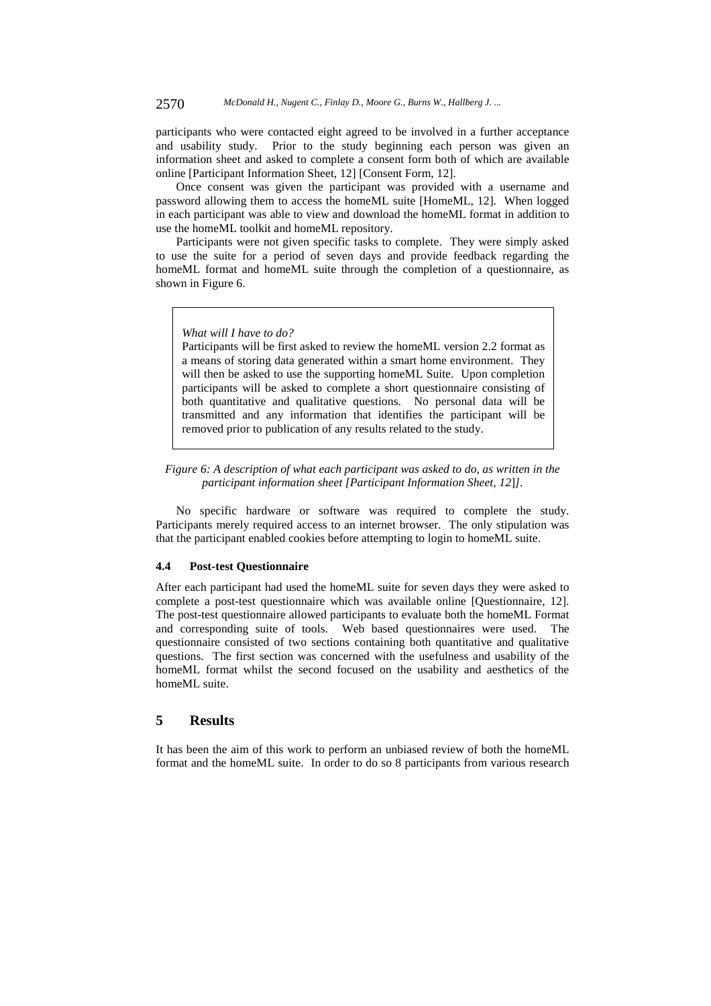participants who were contacted eight agreed to be involved in a further acceptance and usability study. Prior to the study beginning each person was given an information sheet and asked to complete a consent form both of which are available online [Participant Information Sheet, 12] [Consent Form, 12].

Once consent was given the participant was provided with a username and password allowing them to access the homeML suite [HomeML, 12]. When logged in each participant was able to view and download the homeML format in addition to use the homeML toolkit and homeML repository.

Participants were not given specific tasks to complete. They were simply asked to use the suite for a period of seven days and provide feedback regarding the homeML format and homeML suite through the completion of a questionnaire, as shown in Figure 6.

#### *What will I have to do?*

Participants will be first asked to review the homeML version 2.2 format as a means of storing data generated within a smart home environment. They will then be asked to use the supporting homeML Suite. Upon completion participants will be asked to complete a short questionnaire consisting of both quantitative and qualitative questions. No personal data will be transmitted and any information that identifies the participant will be removed prior to publication of any results related to the study.

### *Figure 6: A description of what each participant was asked to do, as written in the participant information sheet [Participant Information Sheet, 12*]*].*

No specific hardware or software was required to complete the study. Participants merely required access to an internet browser. The only stipulation was that the participant enabled cookies before attempting to login to homeML suite.

### **4.4 Post-test Questionnaire**

After each participant had used the homeML suite for seven days they were asked to complete a post-test questionnaire which was available online [Questionnaire, 12]. The post-test questionnaire allowed participants to evaluate both the homeML Format and corresponding suite of tools. Web based questionnaires were used. The questionnaire consisted of two sections containing both quantitative and qualitative questions. The first section was concerned with the usefulness and usability of the homeML format whilst the second focused on the usability and aesthetics of the homeML suite.

### **5 Results**

It has been the aim of this work to perform an unbiased review of both the homeML format and the homeML suite. In order to do so 8 participants from various research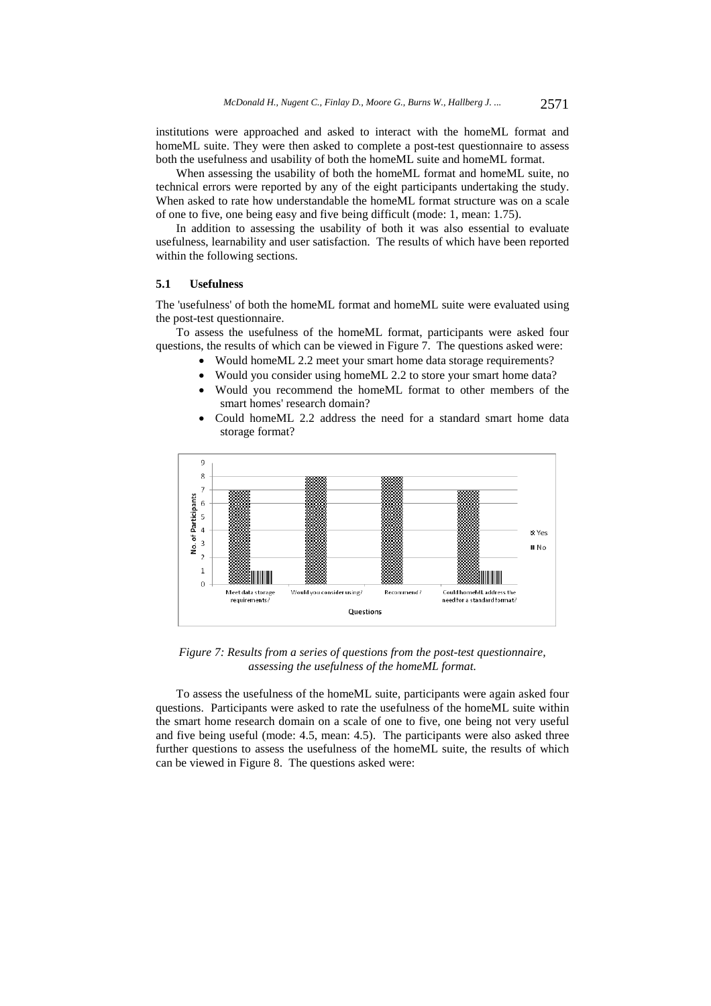institutions were approached and asked to interact with the homeML format and homeML suite. They were then asked to complete a post-test questionnaire to assess both the usefulness and usability of both the homeML suite and homeML format.

When assessing the usability of both the homeML format and homeML suite, no technical errors were reported by any of the eight participants undertaking the study. When asked to rate how understandable the homeML format structure was on a scale of one to five, one being easy and five being difficult (mode: 1, mean: 1.75).

In addition to assessing the usability of both it was also essential to evaluate usefulness, learnability and user satisfaction. The results of which have been reported within the following sections.

### **5.1 Usefulness**

The 'usefulness' of both the homeML format and homeML suite were evaluated using the post-test questionnaire.

To assess the usefulness of the homeML format, participants were asked four questions, the results of which can be viewed in Figure 7. The questions asked were:

- Would homeML 2.2 meet your smart home data storage requirements?
- Would you consider using homeML 2.2 to store your smart home data?
- Would you recommend the homeML format to other members of the smart homes' research domain?
- Could home ML 2.2 address the need for a standard smart home data storage format?



*Figure 7: Results from a series of questions from the post-test questionnaire, assessing the usefulness of the homeML format.* 

To assess the usefulness of the homeML suite, participants were again asked four questions. Participants were asked to rate the usefulness of the homeML suite within the smart home research domain on a scale of one to five, one being not very useful and five being useful (mode: 4.5, mean: 4.5). The participants were also asked three further questions to assess the usefulness of the homeML suite, the results of which can be viewed in Figure 8. The questions asked were: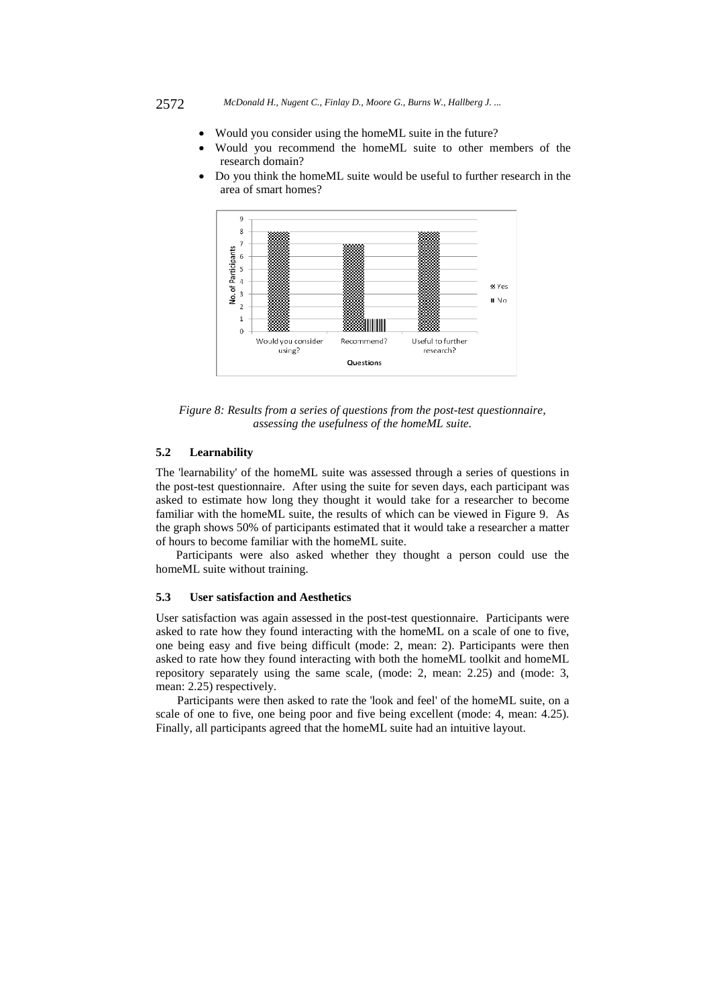- Would you consider using the homeML suite in the future?
- Would you recommend the homeML suite to other members of the research domain?
- Do you think the homeML suite would be useful to further research in the area of smart homes?



*Figure 8: Results from a series of questions from the post-test questionnaire, assessing the usefulness of the homeML suite.* 

### **5.2 Learnability**

The 'learnability' of the homeML suite was assessed through a series of questions in the post-test questionnaire. After using the suite for seven days, each participant was asked to estimate how long they thought it would take for a researcher to become familiar with the homeML suite, the results of which can be viewed in Figure 9. As the graph shows 50% of participants estimated that it would take a researcher a matter of hours to become familiar with the homeML suite.

Participants were also asked whether they thought a person could use the homeML suite without training.

### **5.3 User satisfaction and Aesthetics**

User satisfaction was again assessed in the post-test questionnaire. Participants were asked to rate how they found interacting with the homeML on a scale of one to five, one being easy and five being difficult (mode: 2, mean: 2). Participants were then asked to rate how they found interacting with both the homeML toolkit and homeML repository separately using the same scale, (mode: 2, mean: 2.25) and (mode: 3, mean: 2.25) respectively.

Participants were then asked to rate the 'look and feel' of the homeML suite, on a scale of one to five, one being poor and five being excellent (mode: 4, mean: 4.25). Finally, all participants agreed that the homeML suite had an intuitive layout.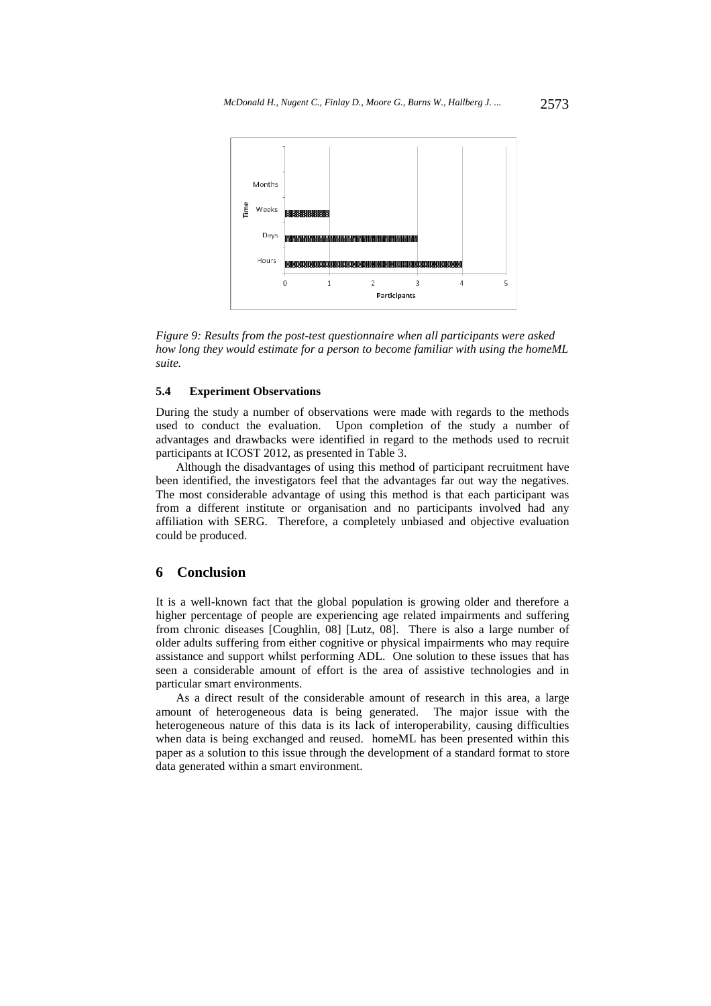

*Figure 9: Results from the post-test questionnaire when all participants were asked how long they would estimate for a person to become familiar with using the homeML suite.* 

### **5.4 Experiment Observations**

During the study a number of observations were made with regards to the methods used to conduct the evaluation. Upon completion of the study a number of advantages and drawbacks were identified in regard to the methods used to recruit participants at ICOST 2012, as presented in Table 3.

Although the disadvantages of using this method of participant recruitment have been identified, the investigators feel that the advantages far out way the negatives. The most considerable advantage of using this method is that each participant was from a different institute or organisation and no participants involved had any affiliation with SERG. Therefore, a completely unbiased and objective evaluation could be produced.

### **6 Conclusion**

It is a well-known fact that the global population is growing older and therefore a higher percentage of people are experiencing age related impairments and suffering from chronic diseases [Coughlin, 08] [Lutz, 08]. There is also a large number of older adults suffering from either cognitive or physical impairments who may require assistance and support whilst performing ADL. One solution to these issues that has seen a considerable amount of effort is the area of assistive technologies and in particular smart environments.

As a direct result of the considerable amount of research in this area, a large amount of heterogeneous data is being generated. The major issue with the heterogeneous nature of this data is its lack of interoperability, causing difficulties when data is being exchanged and reused. homeML has been presented within this paper as a solution to this issue through the development of a standard format to store data generated within a smart environment.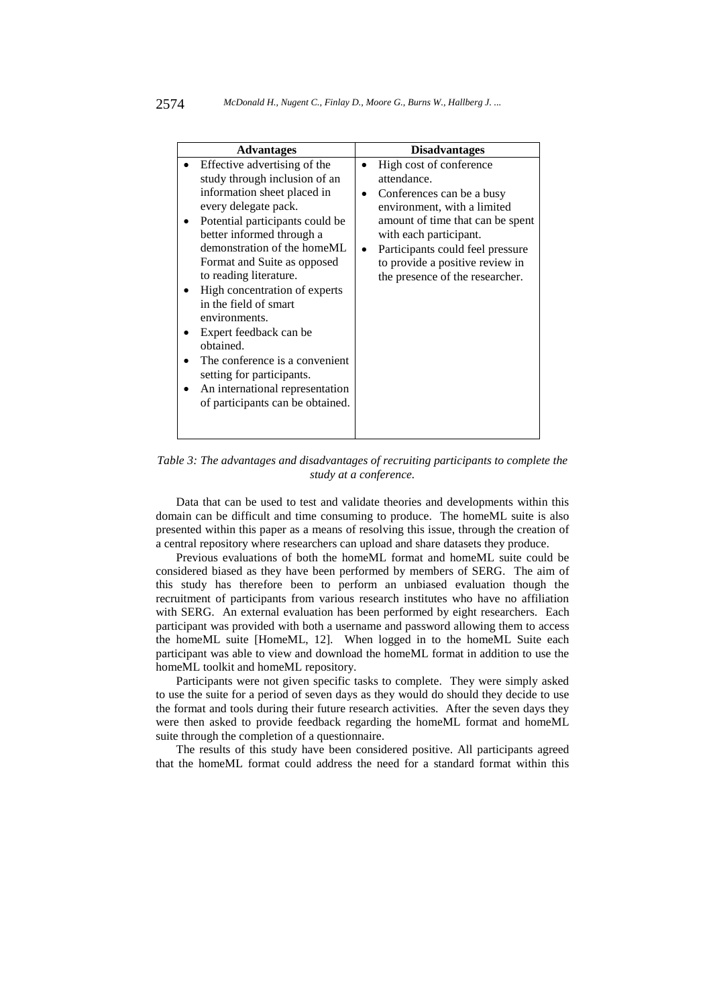| <b>Advantages</b>                                                                                                                                                                                                                                                                                                                                                                                                                | <b>Disadvantages</b>                                                                                                                                                                                                                                                       |
|----------------------------------------------------------------------------------------------------------------------------------------------------------------------------------------------------------------------------------------------------------------------------------------------------------------------------------------------------------------------------------------------------------------------------------|----------------------------------------------------------------------------------------------------------------------------------------------------------------------------------------------------------------------------------------------------------------------------|
| Effective advertising of the<br>study through inclusion of an<br>information sheet placed in<br>every delegate pack.<br>Potential participants could be<br>better informed through a<br>demonstration of the homeML<br>Format and Suite as opposed<br>to reading literature.<br>High concentration of experts<br>in the field of smart<br>environments.<br>Expert feedback can be<br>obtained.<br>The conference is a convenient | High cost of conference<br>attendance.<br>Conferences can be a busy<br>environment, with a limited<br>amount of time that can be spent<br>with each participant.<br>Participants could feel pressure<br>to provide a positive review in<br>the presence of the researcher. |
| setting for participants.                                                                                                                                                                                                                                                                                                                                                                                                        |                                                                                                                                                                                                                                                                            |
| An international representation<br>of participants can be obtained.                                                                                                                                                                                                                                                                                                                                                              |                                                                                                                                                                                                                                                                            |

*Table 3: The advantages and disadvantages of recruiting participants to complete the study at a conference.* 

Data that can be used to test and validate theories and developments within this domain can be difficult and time consuming to produce. The homeML suite is also presented within this paper as a means of resolving this issue, through the creation of a central repository where researchers can upload and share datasets they produce.

Previous evaluations of both the homeML format and homeML suite could be considered biased as they have been performed by members of SERG. The aim of this study has therefore been to perform an unbiased evaluation though the recruitment of participants from various research institutes who have no affiliation with SERG. An external evaluation has been performed by eight researchers. Each participant was provided with both a username and password allowing them to access the homeML suite [HomeML, 12]. When logged in to the homeML Suite each participant was able to view and download the homeML format in addition to use the homeML toolkit and homeML repository.

Participants were not given specific tasks to complete. They were simply asked to use the suite for a period of seven days as they would do should they decide to use the format and tools during their future research activities. After the seven days they were then asked to provide feedback regarding the homeML format and homeML suite through the completion of a questionnaire.

The results of this study have been considered positive. All participants agreed that the homeML format could address the need for a standard format within this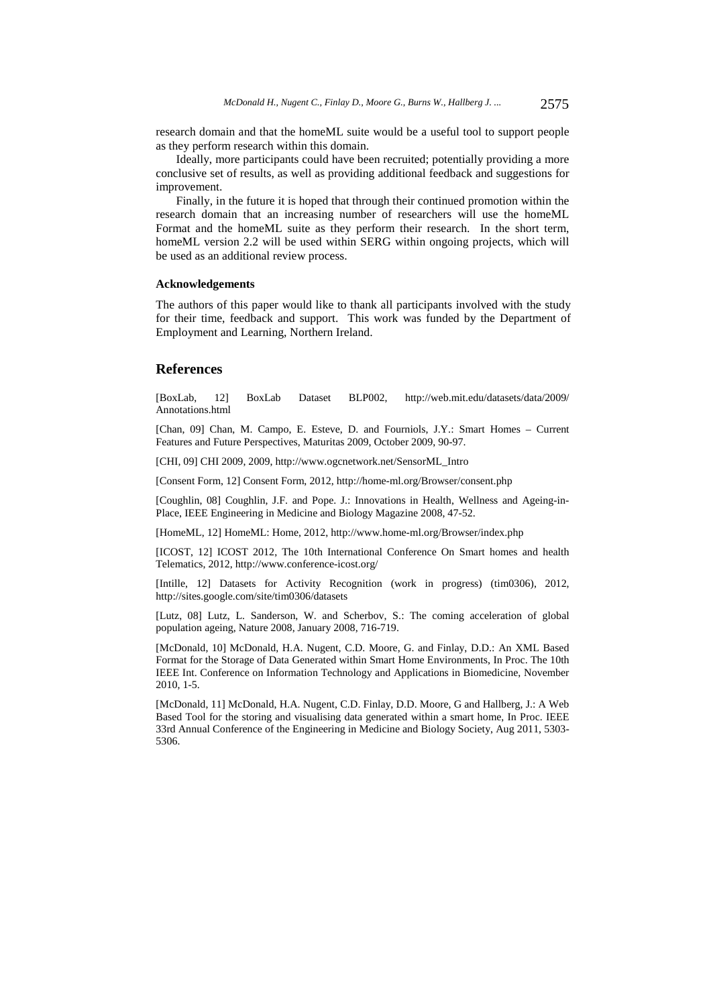research domain and that the homeML suite would be a useful tool to support people as they perform research within this domain.

Ideally, more participants could have been recruited; potentially providing a more conclusive set of results, as well as providing additional feedback and suggestions for improvement.

Finally, in the future it is hoped that through their continued promotion within the research domain that an increasing number of researchers will use the homeML Format and the homeML suite as they perform their research. In the short term, homeML version 2.2 will be used within SERG within ongoing projects, which will be used as an additional review process.

#### **Acknowledgements**

The authors of this paper would like to thank all participants involved with the study for their time, feedback and support. This work was funded by the Department of Employment and Learning, Northern Ireland.

### **References**

[BoxLab, 12] BoxLab Dataset BLP002, http://web.mit.edu/datasets/data/2009/ Annotations.html

[Chan, 09] Chan, M. Campo, E. Esteve, D. and Fourniols, J.Y.: Smart Homes – Current Features and Future Perspectives, Maturitas 2009, October 2009, 90-97.

[CHI, 09] CHI 2009, 2009, http://www.ogcnetwork.net/SensorML\_Intro

[Consent Form, 12] Consent Form, 2012, http://home-ml.org/Browser/consent.php

[Coughlin, 08] Coughlin, J.F. and Pope. J.: Innovations in Health, Wellness and Ageing-in-Place, IEEE Engineering in Medicine and Biology Magazine 2008, 47-52.

[HomeML, 12] HomeML: Home, 2012, http://www.home-ml.org/Browser/index.php

[ICOST, 12] ICOST 2012, The 10th International Conference On Smart homes and health Telematics, 2012, http://www.conference-icost.org/

[Intille, 12] Datasets for Activity Recognition (work in progress) (tim0306), 2012, http://sites.google.com/site/tim0306/datasets

[Lutz, 08] Lutz, L. Sanderson, W. and Scherbov, S.: The coming acceleration of global population ageing, Nature 2008, January 2008, 716-719.

[McDonald, 10] McDonald, H.A. Nugent, C.D. Moore, G. and Finlay, D.D.: An XML Based Format for the Storage of Data Generated within Smart Home Environments, In Proc. The 10th IEEE Int. Conference on Information Technology and Applications in Biomedicine, November 2010, 1-5.

[McDonald, 11] McDonald, H.A. Nugent, C.D. Finlay, D.D. Moore, G and Hallberg, J.: A Web Based Tool for the storing and visualising data generated within a smart home, In Proc. IEEE 33rd Annual Conference of the Engineering in Medicine and Biology Society, Aug 2011, 5303- 5306.